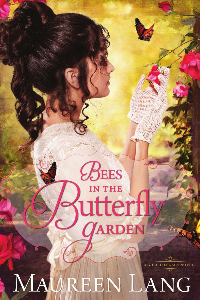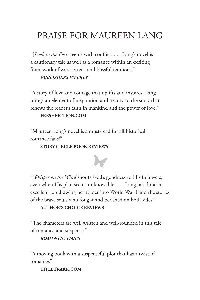# Praise for Maureen Lang

"[*Look to the East*] teems with conflict. . . . Lang's novel is a cautionary tale as well as a romance within an exciting framework of war, secrets, and blissful reunions."

## *Publishers Weekly*

"A story of love and courage that uplifts and inspires. Lang brings an element of inspiration and beauty to the story that renews the reader's faith in mankind and the power of love."

# **FreshFiction.com**

"Maureen Lang's novel is a must-read for all historical romance fans!"

## **Story Circle Book Reviews**



"*Whisper on the Wind* shouts God's goodness to His followers, even when His plan seems unknowable. . . . Lang has done an excellent job drawing her reader into World War I and the stories of the brave souls who fought and perished on both sides."

# **Author's Choice Reviews**

"The characters are well written and well-rounded in this tale of romance and suspense."

# *Romantic Times*

"A moving book with a suspenseful plot that has a twist of romance."

# **TitleTrakk.com**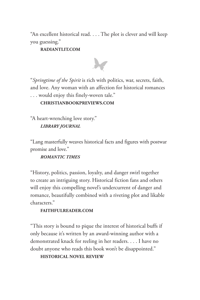"An excellent historical read. . . . The plot is clever and will keep you guessing."

# **RadiantLit.com**



"*Springtime of the Spirit* is rich with politics, war, secrets, faith, and love. Any woman with an affection for historical romances . . . would enjoy this finely-woven tale."

# **ChristianBookPreviews.com**

"A heart-wrenching love story." *Library Journal*

"Lang masterfully weaves historical facts and figures with postwar promise and love."

# *Romantic Times*

"History, politics, passion, loyalty, and danger swirl together to create an intriguing story. Historical fiction fans and others will enjoy this compelling novel's undercurrent of danger and romance, beautifully combined with a riveting plot and likable characters."

#### **FaithfulReader.com**

"This story is bound to pique the interest of historical buffs if only because it's written by an award-winning author with a demonstrated knack for reeling in her readers. . . . I have no doubt anyone who reads this book won't be disappointed."

### **Historical Novel Review**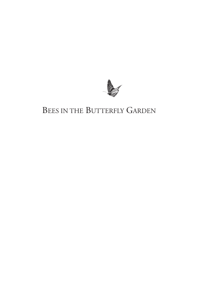

# BEES IN THE BUTTERFLY GARDEN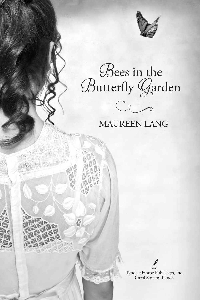

# Bees in the Butterfly Garden



Tyndale House Publishers, Inc. Carol Stream, Illinois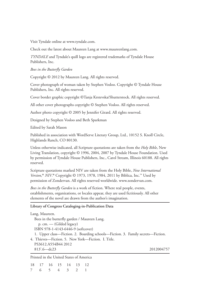Visit Tyndale online at www.tyndale.com.

Check out the latest about Maureen Lang at www.maureenlang.com.

*TYNDALE* and Tyndale's quill logo are registered trademarks of Tyndale House Publishers, Inc.

*Bees in the Butterfly Garden*

Copyright © 2012 by Maureen Lang. All rights reserved.

Cover photograph of woman taken by Stephen Vosloo. Copyright © Tyndale House Publishers, Inc. All rights reserved.

Cover border graphic copyright ©Tanja Krstevska/Shutterstock. All rights reserved.

All other cover photographs copyright © Stephen Vosloo. All rights reserved.

Author photo copyright © 2005 by Jennifer Girard. All rights reserved.

Designed by Stephen Vosloo and Beth Sparkman

Edited by Sarah Mason

Published in association with WordServe Literary Group, Ltd., 10152 S. Knoll Circle, Highlands Ranch, CO 80130.

Unless otherwise indicated, all Scripture quotations are taken from the *Holy Bible*, New Living Translation, copyright © 1996, 2004, 2007 by Tyndale House Foundation. Used by permission of Tyndale House Publishers, Inc., Carol Stream, Illinois 60188. All rights reserved.

Scripture quotations marked NIV are taken from the Holy Bible, *New International Version*,® *NIV*.® Copyright © 1973, 1978, 1984, 2011 by Biblica, Inc.™ Used by permission of Zondervan. All rights reserved worldwide. www.zondervan.com.

*Bees in the Butterfly Garden* is a work of fiction. Where real people, events, establishments, organizations, or locales appear, they are used fictitiously. All other elements of the novel are drawn from the author's imagination.

#### **Library of Congress Cataloging-in-Publication Data**

```
Lang, Maureen. 
  Bees in the butterfly garden / Maureen Lang. 
     p. cm. — (Gilded legacy) 
   ISBN 978-1-4143-6446-9 (softcover) 
  1. Upper class—Fiction. 2. Boarding schools—Fiction. 3. Family secrets—Fiction. 
4. Thieves—Fiction. 5. New York—Fiction. I. Title. 
  PS3612.A554B44 2012 
  813'.6—dc23 2012004757
```
Printed in the United States of America

18 17 16 15 14 13 12 7 6 5 4 3 2 1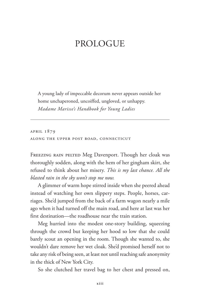# PROLOGUE

A young lady of impeccable decorum never appears outside her home unchaperoned, uncoiffed, ungloved, or unhappy. *Madame Marisse's Handbook for Young Ladies*

April 1879 Along the Upper Post Road, Connecticut

FREEZING RAIN PELTED Meg Davenport. Though her cloak was thoroughly sodden, along with the hem of her gingham skirt, she refused to think about her misery. *This is my last chance. All the blasted rain in the sky won't stop me now.*

A glimmer of warm hope stirred inside when she peered ahead instead of watching her own slippery steps. People, horses, carriages. She'd jumped from the back of a farm wagon nearly a mile ago when it had turned off the main road, and here at last was her first destination—the roadhouse near the train station.

Meg hurried into the modest one-story building, squeezing through the crowd but keeping her hood so low that she could barely scout an opening in the room. Though she wanted to, she wouldn't dare remove her wet cloak. She'd promised herself not to take any risk of being seen, at least not until reaching safe anonymity in the thick of New York City.

So she clutched her travel bag to her chest and pressed on,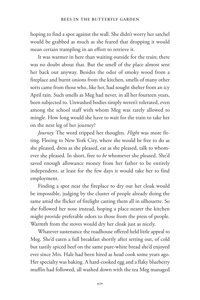hoping to find a spot against the wall. She didn't worry her satchel would be grabbed as much as she feared that dropping it would mean certain trampling in an effort to retrieve it.

It was warmer in here than waiting outside for the train; there was no doubt about that. But the smell of the place almost sent her back out anyway. Besides the odor of smoky wood from a fireplace and burnt onions from the kitchen, smells of many other sorts came from those who, like her, had sought shelter from an icy April rain. Such smells as Meg had never, in all her fourteen years, been subjected to. Unwashed bodies simply weren't tolerated, even among the school staff with whom Meg was rarely allowed to mingle. How long would she have to wait for the train to take her on the next leg of her journey?

*Journey.* The word tripped her thoughts. *Flight* was more fitting. Fleeing to New York City, where she would be free to do as she pleased, dress as she pleased, eat as she pleased, talk to whomever she pleased. In short, free to *be* whomever she pleased. She'd saved enough allowance money from her father to be entirely independent, at least for the few days it would take her to find employment.

Finding a spot near the fireplace to dry out her cloak would be impossible, judging by the cluster of people already doing the same amid the flicker of firelight casting them all in silhouette. So she followed her nose instead, hoping a place nearer the kitchen might provide preferable odors to those from the press of people. Warmth from the stoves would dry her cloak just as nicely.

Whatever sustenance the roadhouse offered held little appeal to Meg. She'd eaten a full breakfast shortly after setting out, of cold but tastily spiced beef on the same pure-white bread she'd enjoyed ever since Mrs. Hale had been hired as head cook some years ago. Her specialty was baking. A hard-cooked egg and a flaky blueberry muffin had followed, all washed down with the tea Meg managed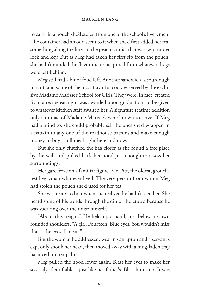#### **Maureen Lang**

to carry in a pouch she'd stolen from one of the school's liverymen. The container had an odd scent to it when she'd first added her tea, something along the lines of the peach cordial that was kept under lock and key. But as Meg had taken her first sip from the pouch, she hadn't minded the flavor the tea acquired from whatever dregs were left behind.

Meg still had a bit of food left. Another sandwich, a sourdough biscuit, and some of the most flavorful cookies served by the exclusive Madame Marisse's School for Girls. They were, in fact, created from a recipe each girl was awarded upon graduation, to be given to whatever kitchen staff awaited her. A signature teatime addition only alumnae of Madame Marisse's were known to serve. If Meg had a mind to, she could probably sell the ones she'd wrapped in a napkin to any one of the roadhouse patrons and make enough money to buy a full meal right here and now.

But she only clutched the bag closer as she found a free place by the wall and pulled back her hood just enough to assess her surroundings.

Her gaze froze on a familiar figure. Mr. Pitt, the oldest, grouchiest liveryman who ever lived. The very person from whom Meg had stolen the pouch she'd used for her tea.

She was ready to bolt when she realized he hadn't seen her. She heard some of his words through the din of the crowd because he was speaking over the noise himself.

"About this height." He held up a hand, just below his own rounded shoulders. "A girl. Fourteen. Blue eyes. You wouldn't miss that—the eyes, I mean."

But the woman he addressed, wearing an apron and a servant's cap, only shook her head, then moved away with a mug-laden tray balanced on her palms.

Meg pulled the hood lower again. Blast her eyes to make her so easily identifiable—just like her father's. Blast him, too. It was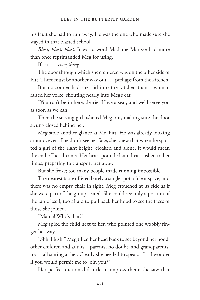his fault she had to run away. He was the one who made sure she stayed in that blasted school.

*Blast, blast, blast.* It was a word Madame Marisse had more than once reprimanded Meg for using.

Blast . . . *everything*.

The door through which she'd entered was on the other side of Pitt. There must be another way out . . . perhaps from the kitchen.

But no sooner had she slid into the kitchen than a woman raised her voice, shouting nearly into Meg's ear.

"You can't be in here, dearie. Have a seat, and we'll serve you as soon as we can."

Then the serving girl ushered Meg out, making sure the door swung closed behind her.

Meg stole another glance at Mr. Pitt. He was already looking around; even if he didn't see her face, she knew that when he spotted a girl of the right height, cloaked and alone, it would mean the end of her dreams. Her heart pounded and heat rushed to her limbs, preparing to transport her away.

But she froze; too many people made running impossible.

The nearest table offered barely a single spot of clear space, and there was no empty chair in sight. Meg crouched at its side as if she were part of the group seated. She could see only a portion of the table itself, too afraid to pull back her hood to see the faces of those she joined.

"Mama! Who's that?"

Meg spied the child next to her, who pointed one wobbly finger her way.

"Shh! Hush!" Meg tilted her head back to see beyond her hood: other children and adults—parents, no doubt, and grandparents, too—all staring at her. Clearly she needed to speak. "I—I wonder if you would permit me to join you?"

Her perfect diction did little to impress them; she saw that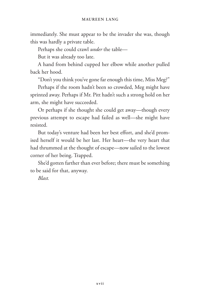immediately. She must appear to be the invader she was, though this was hardly a private table.

Perhaps she could crawl *under* the table—

But it was already too late.

A hand from behind cupped her elbow while another pulled back her hood.

"Don't you think you've gone far enough this time, Miss Meg?"

Perhaps if the room hadn't been so crowded, Meg might have sprinted away. Perhaps if Mr. Pitt hadn't such a strong hold on her arm, she might have succeeded.

Or perhaps if she thought she could get away—though every previous attempt to escape had failed as well—she might have resisted.

But today's venture had been her best effort, and she'd promised herself it would be her last. Her heart—the very heart that had thrummed at the thought of escape—now sailed to the lowest corner of her being. Trapped.

She'd gotten farther than ever before; there must be something to be said for that, anyway.

*Blast.*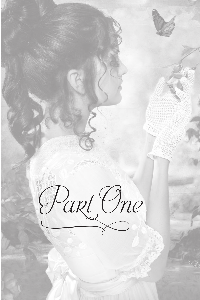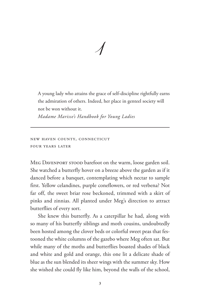1

A young lady who attains the grace of self-discipline rightfully earns the admiration of others. Indeed, her place in genteel society will not be won without it.

*Madame Marisse's Handbook for Young Ladies*

New Haven County, Connecticut Four years later

Meg Davenport stood barefoot on the warm, loose garden soil. She watched a butterfly hover on a breeze above the garden as if it danced before a banquet, contemplating which nectar to sample first. Yellow celandines, purple coneflowers, or red verbena? Not far off, the sweet briar rose beckoned, trimmed with a skirt of pinks and zinnias. All planted under Meg's direction to attract butterflies of every sort.

She knew this butterfly. As a caterpillar he had, along with so many of his butterfly siblings and moth cousins, undoubtedly been hosted among the clover beds or colorful sweet peas that festooned the white columns of the gazebo where Meg often sat. But while many of the moths and butterflies boasted shades of black and white and gold and orange, this one lit a delicate shade of blue as the sun blended its sheer wings with the summer sky. How she wished she could fly like him, beyond the walls of the school,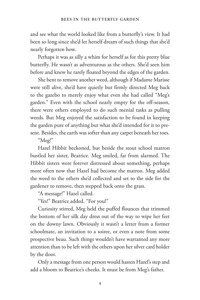and see what the world looked like from a butterfly's view. It had been so long since she'd let herself dream of such things that she'd nearly forgotten how.

Perhaps it was as silly a whim for herself as for this pretty blue butterfly. He wasn't as adventurous as the others. She'd seen him before and knew he rarely floated beyond the edges of the garden.

She bent to remove another weed, although if Madame Marisse were still alive, she'd have quietly but firmly directed Meg back to the gazebo to merely enjoy what even she had called "Meg's garden." Even with the school nearly empty for the off-season, there were others employed to do such menial tasks as pulling weeds. But Meg enjoyed the satisfaction to be found in keeping the garden pure of anything but what she'd intended for it to present. Besides, the earth was softer than any carpet beneath her toes.

"Meg!"

Hazel Hibbit beckoned, but beside the stout school matron bustled her sister, Beatrice. Meg smiled, far from alarmed. The Hibbit sisters were forever distressed about something, perhaps more often now that Hazel had become the matron. Meg added the weed to the others she'd collected and set to the side for the gardener to remove, then stepped back onto the grass.

"A message!" Hazel called.

"Yes!" Beatrice added. "For you!"

Curiosity stirred, Meg held the puffed flounces that trimmed the bottom of her silk day dress out of the way to wipe her feet on the downy lawn. Obviously it wasn't a letter from a former schoolmate, an invitation to a soiree, or even a note from some prospective beau. Such things wouldn't have warranted any more attention than to be left with the others upon her silver card holder by the door.

Only a message from one person would hasten Hazel's step and add a bloom to Beatrice's cheeks. It must be from Meg's father.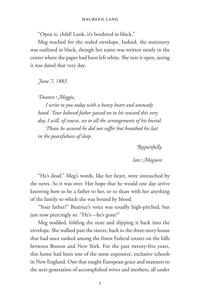#### **Maureen Lang**

"Open it, child! Look, it's bordered in black."

Meg reached for the sealed envelope. Indeed, the stationery was outlined in black, though her name was written neatly in the center where the paper had been left white. She tore it open, seeing it was dated that very day.

*June 7, 1883*

*Dearest Meggie,*

*I write to you today with a heavy heart and unsteady hand. Your beloved father passed on to his reward this very day. I will, of course, see to all the arrangements of his burial. Please be assured he did not suffer but breathed his last in the peacefulness of sleep.*

*Respectfully,*

*Ian Maguire*

"He's dead." Meg's words, like her heart, were untouched by the news. So it was over. Her hope that he would one day arrive knowing how to be a father to her, or to share with her anything of the family to which she was bound by blood.

"Your father?" Beatrice's voice was usually high-pitched, but just now piercingly so. "He's—he's gone?"

Meg nodded, folding the note and slipping it back into the envelope. She walked past the sisters, back to the three-story house that had once ranked among the finest Federal estates on the hills between Boston and New York. For the past twenty-five years, this home had been one of the most expensive, exclusive schools in New England. One that taught European grace and manners to the next generation of accomplished wives and mothers, all under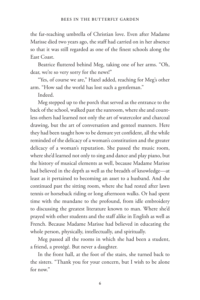the far-reaching umbrella of Christian love. Even after Madame Marisse died two years ago, the staff had carried on in her absence so that it was still regarded as one of the finest schools along the East Coast.

Beatrice fluttered behind Meg, taking one of her arms. "Oh, dear, we're so very sorry for the news!"

"Yes, of course we are," Hazel added, reaching for Meg's other arm. "How sad the world has lost such a gentleman."

Indeed.

Meg stepped up to the porch that served as the entrance to the back of the school, walked past the sunroom, where she and countless others had learned not only the art of watercolor and charcoal drawing, but the art of conversation and genteel manners. Here they had been taught how to be demure yet confident, all the while reminded of the delicacy of a woman's constitution and the greater delicacy of a woman's reputation. She passed the music room, where she'd learned not only to sing and dance and play piano, but the history of musical elements as well, because Madame Marisse had believed in the depth as well as the breadth of knowledge—at least as it pertained to becoming an asset to a husband. And she continued past the sitting room, where she had rested after lawn tennis or horseback riding or long afternoon walks. Or had spent time with the mundane to the profound, from idle embroidery to discussing the greatest literature known to man. Where she'd prayed with other students and the staff alike in English as well as French. Because Madame Marisse had believed in educating the whole person, physically, intellectually, and spiritually.

Meg passed all the rooms in which she had been a student, a friend, a protégé. But never a daughter.

In the front hall, at the foot of the stairs, she turned back to the sisters. "Thank you for your concern, but I wish to be alone for now."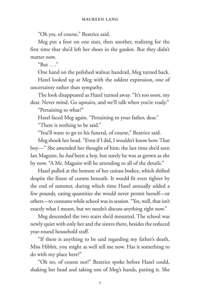"Oh yes, of course," Beatrice said.

Meg put a foot on one stair, then another, realizing for the first time that she'd left her shoes in the garden. But they didn't matter now.

"But . . ."

One hand on the polished walnut handrail, Meg turned back.

Hazel looked up at Meg with the oddest expression, one of uncertainty rather than sympathy.

The look disappeared as Hazel turned away. "It's too soon, my dear. Never mind. Go upstairs, and we'll talk when you're ready."

"Pertaining to what?"

Hazel faced Meg again. "Pertaining to your father, dear."

"There is nothing to be said."

"You'll want to go to his funeral, of course," Beatrice said.

Meg shook her head. "Even if I did, I wouldn't know how. That boy—" She amended her thought of him; the last time she'd seen Ian Maguire, he *had* been a boy, but surely he was as grown as she by now. "A Mr. Maguire will be attending to all of the details."

Hazel pulled at the bottom of her cuirass bodice, which shifted despite the finest of corsets beneath. It would fit even tighter by the end of summer, during which time Hazel annually added a few pounds, eating quantities she would never permit herself—or others—to consume while school was in session. "Yes, well, that isn't exactly what I meant, but we needn't discuss anything right now."

Meg descended the two stairs she'd mounted. The school was newly quiet with only her and the sisters there, besides the reduced year-round household staff.

"If there is anything to be said regarding my father's death, Miss Hibbit, you might as well tell me now. Has it something to do with my place here?"

"Oh no, of course not!" Beatrice spoke before Hazel could, shaking her head and taking one of Meg's hands, patting it. She

**7**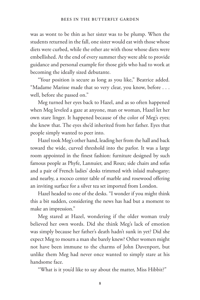was as wont to be thin as her sister was to be plump. When the students returned in the fall, one sister would eat with those whose diets were curbed, while the other ate with those whose diets were embellished. At the end of every summer they were able to provide guidance and personal example for those girls who had to work at becoming the ideally sized debutante.

"Your position is secure as long as you like," Beatrice added. "Madame Marisse made that so very clear, you know, before . . . well, before she passed on."

Meg turned her eyes back to Hazel, and as so often happened when Meg leveled a gaze at anyone, man or woman, Hazel let her own stare linger. It happened because of the color of Meg's eyes; she knew that. The eyes she'd inherited from her father. Eyes that people simply wanted to peer into.

Hazel took Meg's other hand, leading her from the hall and back toward the wide, curved threshold into the parlor. It was a large room appointed in the finest fashion: furniture designed by such famous people as Phyfe, Lannuier, and Roux; side chairs and sofas and a pair of French ladies' desks trimmed with inlaid mahogany; and nearby, a rococo center table of marble and rosewood offering an inviting surface for a silver tea set imported from London.

Hazel headed to one of the desks. "I wonder if you might think this a bit sudden, considering the news has had but a moment to make an impression."

Meg stared at Hazel, wondering if the older woman truly believed her own words. Did she think Meg's lack of emotion was simply because her father's death hadn't sunk in yet? Did she expect Meg to mourn a man she barely knew? Other women might not have been immune to the charms of John Davenport, but unlike them Meg had never once wanted to simply stare at his handsome face.

"What is it you'd like to say about the matter, Miss Hibbit?"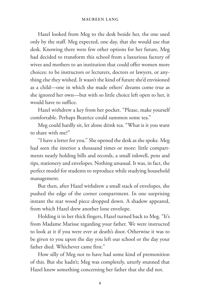#### **Maureen Lang**

Hazel looked from Meg to the desk beside her, the one used only by the staff. Meg expected, one day, that she would use that desk. Knowing there were few other options for her future, Meg had decided to transform this school from a luxurious factory of wives and mothers to an institution that could offer women more choices: to be instructors or lecturers, doctors or lawyers, or anything else they wished. It wasn't the kind of future she'd envisioned as a child—one in which she made others' dreams come true as she ignored her own—but with so little choice left open to her, it would have to suffice.

Hazel withdrew a key from her pocket. "Please, make yourself comfortable. Perhaps Beatrice could summon some tea."

Meg could hardly sit, let alone drink tea. "What is it you want to share with me?"

"I have a letter for you." She opened the desk as she spoke. Meg had seen the interior a thousand times or more: little compartments neatly holding bills and records, a small inkwell, pens and tips, stationery and envelopes. Nothing unusual. It was, in fact, the perfect model for students to reproduce while studying household management.

But then, after Hazel withdrew a small stack of envelopes, she pushed the edge of the corner compartment. In one surprising instant the rear wood piece dropped down. A shadow appeared, from which Hazel drew another lone envelope.

Holding it in her thick fingers, Hazel turned back to Meg. "It's from Madame Marisse regarding your father. We were instructed to look at it if you were ever at death's door. Otherwise it was to be given to you upon the day you left our school or the day your father died. Whichever came first."

How silly of Meg not to have had some kind of premonition of this. But she hadn't; Meg was completely, utterly stunned that Hazel knew something concerning her father that she did not.